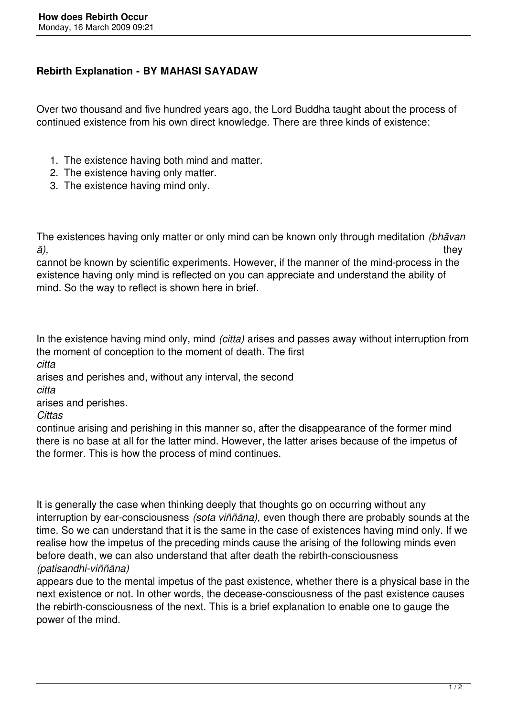## **Rebirth Explanation - BY MAHASI SAYADAW**

Over two thousand and five hundred years ago, the Lord Buddha taught about the process of continued existence from his own direct knowledge. There are three kinds of existence:

- 1. The existence having both mind and matter.
- 2. The existence having only matter.
- 3. The existence having mind only.

The existences having only matter or only mind can be known only through meditation *(bhāvan ā),* they

cannot be known by scientific experiments. However, if the manner of the mind-process in the existence having only mind is reflected on you can appreciate and understand the ability of mind. So the way to reflect is shown here in brief.

In the existence having mind only, mind *(citta)* arises and passes away without interruption from the moment of conception to the moment of death. The first

*citta* 

arises and perishes and, without any interval, the second

*citta* 

arises and perishes.

*Cittas* 

continue arising and perishing in this manner so, after the disappearance of the former mind there is no base at all for the latter mind. However, the latter arises because of the impetus of the former. This is how the process of mind continues.

It is generally the case when thinking deeply that thoughts go on occurring without any interruption by ear-consciousness *(sota viññāna),* even though there are probably sounds at the time. So we can understand that it is the same in the case of existences having mind only. If we realise how the impetus of the preceding minds cause the arising of the following minds even before death, we can also understand that after death the rebirth-consciousness *(patisandhi-viññāna)* 

appears due to the mental impetus of the past existence, whether there is a physical base in the next existence or not. In other words, the decease-consciousness of the past existence causes the rebirth-consciousness of the next. This is a brief explanation to enable one to gauge the power of the mind.